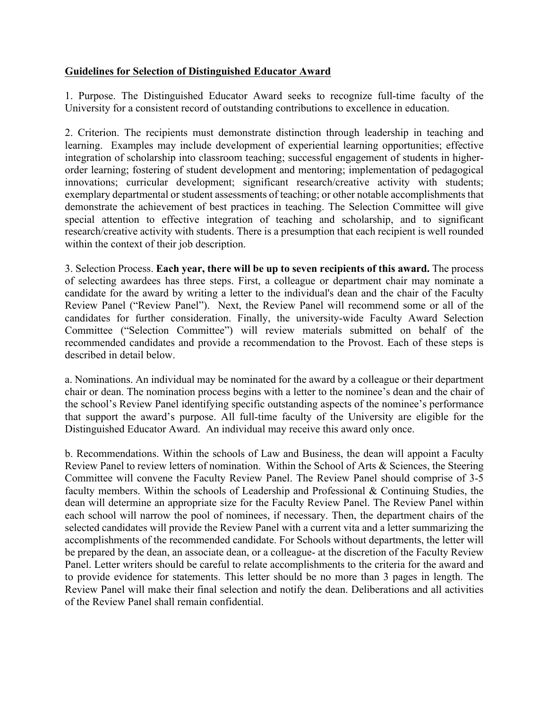## **Guidelines for Selection of Distinguished Educator Award**

1. Purpose. The Distinguished Educator Award seeks to recognize full-time faculty of the University for a consistent record of outstanding contributions to excellence in education.

2. Criterion. The recipients must demonstrate distinction through leadership in teaching and learning. Examples may include development of experiential learning opportunities; effective integration of scholarship into classroom teaching; successful engagement of students in higherorder learning; fostering of student development and mentoring; implementation of pedagogical innovations; curricular development; significant research/creative activity with students; exemplary departmental or student assessments of teaching; or other notable accomplishments that demonstrate the achievement of best practices in teaching. The Selection Committee will give special attention to effective integration of teaching and scholarship, and to significant research/creative activity with students. There is a presumption that each recipient is well rounded within the context of their job description.

3. Selection Process. **Each year, there will be up to seven recipients of this award.** The process of selecting awardees has three steps. First, a colleague or department chair may nominate a candidate for the award by writing a letter to the individual's dean and the chair of the Faculty Review Panel ("Review Panel"). Next, the Review Panel will recommend some or all of the candidates for further consideration. Finally, the university-wide Faculty Award Selection Committee ("Selection Committee") will review materials submitted on behalf of the recommended candidates and provide a recommendation to the Provost. Each of these steps is described in detail below.

a. Nominations. An individual may be nominated for the award by a colleague or their department chair or dean. The nomination process begins with a letter to the nominee's dean and the chair of the school's Review Panel identifying specific outstanding aspects of the nominee's performance that support the award's purpose. All full-time faculty of the University are eligible for the Distinguished Educator Award. An individual may receive this award only once.

b. Recommendations. Within the schools of Law and Business, the dean will appoint a Faculty Review Panel to review letters of nomination. Within the School of Arts & Sciences, the Steering Committee will convene the Faculty Review Panel. The Review Panel should comprise of 3-5 faculty members. Within the schools of Leadership and Professional & Continuing Studies, the dean will determine an appropriate size for the Faculty Review Panel. The Review Panel within each school will narrow the pool of nominees, if necessary. Then, the department chairs of the selected candidates will provide the Review Panel with a current vita and a letter summarizing the accomplishments of the recommended candidate. For Schools without departments, the letter will be prepared by the dean, an associate dean, or a colleague- at the discretion of the Faculty Review Panel. Letter writers should be careful to relate accomplishments to the criteria for the award and to provide evidence for statements. This letter should be no more than 3 pages in length. The Review Panel will make their final selection and notify the dean. Deliberations and all activities of the Review Panel shall remain confidential.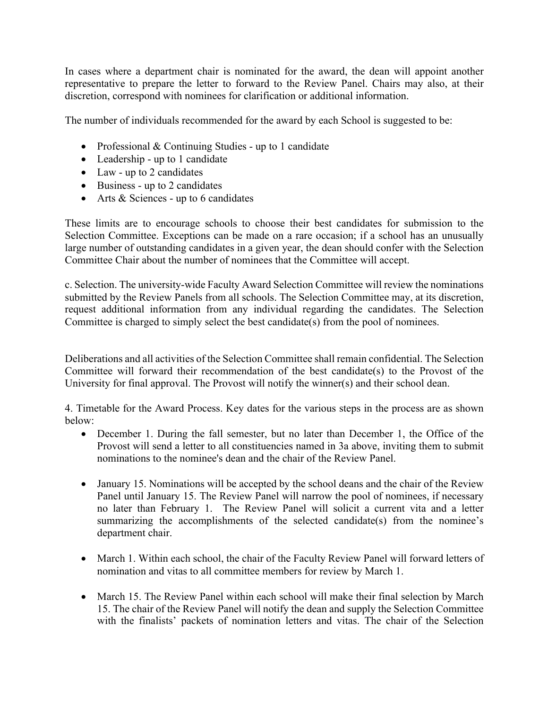In cases where a department chair is nominated for the award, the dean will appoint another representative to prepare the letter to forward to the Review Panel. Chairs may also, at their discretion, correspond with nominees for clarification or additional information.

The number of individuals recommended for the award by each School is suggested to be:

- Professional & Continuing Studies up to 1 candidate
- Leadership up to 1 candidate
- Law up to 2 candidates
- Business up to 2 candidates
- Arts & Sciences up to 6 candidates

These limits are to encourage schools to choose their best candidates for submission to the Selection Committee. Exceptions can be made on a rare occasion; if a school has an unusually large number of outstanding candidates in a given year, the dean should confer with the Selection Committee Chair about the number of nominees that the Committee will accept.

c. Selection. The university-wide Faculty Award Selection Committee will review the nominations submitted by the Review Panels from all schools. The Selection Committee may, at its discretion, request additional information from any individual regarding the candidates. The Selection Committee is charged to simply select the best candidate(s) from the pool of nominees.

Deliberations and all activities of the Selection Committee shall remain confidential. The Selection Committee will forward their recommendation of the best candidate(s) to the Provost of the University for final approval. The Provost will notify the winner(s) and their school dean.

4. Timetable for the Award Process. Key dates for the various steps in the process are as shown below:

- December 1. During the fall semester, but no later than December 1, the Office of the Provost will send a letter to all constituencies named in 3a above, inviting them to submit nominations to the nominee's dean and the chair of the Review Panel.
- January 15. Nominations will be accepted by the school deans and the chair of the Review Panel until January 15. The Review Panel will narrow the pool of nominees, if necessary no later than February 1. The Review Panel will solicit a current vita and a letter summarizing the accomplishments of the selected candidate(s) from the nominee's department chair.
- March 1. Within each school, the chair of the Faculty Review Panel will forward letters of nomination and vitas to all committee members for review by March 1.
- March 15. The Review Panel within each school will make their final selection by March 15. The chair of the Review Panel will notify the dean and supply the Selection Committee with the finalists' packets of nomination letters and vitas. The chair of the Selection